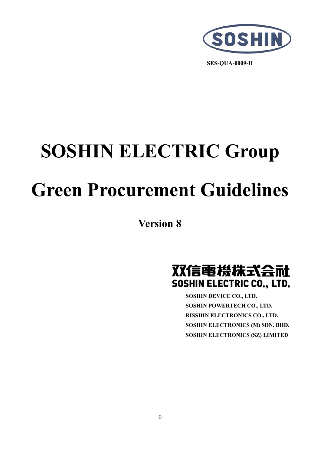

**SES-QUA-0009-H**

# **SOSHIN ELECTRIC Group Green Procurement Guidelines**

**Version 8** 



**SOSHIN DEVICE CO., LTD. SOSHIN POWERTECH CO., LTD. RISSHIN ELECTRONICS CO., LTD. SOSHIN ELECTRONICS (M) SDN. BHD. SOSHIN ELECTRONICS (SZ) LIMITED**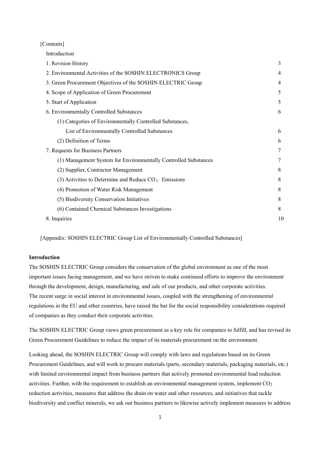[Contents]

Introduction

| 1. Revision History                                             | 3  |
|-----------------------------------------------------------------|----|
| 2. Environmental Activities of the SOSHIN ELECTRONICS Group     | 4  |
| 3. Green Procurement Objectives of the SOSHIN ELECTRIC Group    | 4  |
| 4. Scope of Application of Green Procurement                    | 5  |
| 5. Start of Application                                         | 5  |
| 6. Environmentally Controlled Substances                        | 6  |
| (1) Categories of Environmentally Controlled Substances,        |    |
| List of Environmentally Controlled Substances                   | 6  |
| (2) Definition of Terms                                         | 6  |
| 7. Requests for Business Partners                               | 7  |
| (1) Management System for Environmentally Controlled Substances | 7  |
| (2) Supplier, Contractor Management                             | 8  |
| (3) Activities to Determine and Reduce $CO2$ Emissions          | 8  |
| (4) Promotion of Water Risk Management                          | 8  |
| (5) Biodiversity Conservation Initiatives                       | 8  |
| (6) Contained Chemical Substances Investigations                | 8  |
| 8. Inquiries                                                    | 10 |
|                                                                 |    |

[Appendix: SOSHIN ELECTRIC Group List of Environmentally Controlled Substances]

## **Introduction**

The SOSHIN ELECTRIC Group considers the conservation of the global environment as one of the most important issues facing management, and we have striven to make continued efforts to improve the environment through the development, design, manufacturing, and sale of our products, and other corporate activities. The recent surge in social interest in environmental issues, coupled with the strengthening of environmental regulations in the EU and other countries, have raised the bar for the social responsibility considerations required of companies as they conduct their corporate activities.

The SOSHIN ELECTRIC Group views green procurement as a key role for companies to fulfill, and has revised its Green Procurement Guidelines to reduce the impact of its materials procurement on the environment.

Looking ahead, the SOSHIN ELECTRIC Group will comply with laws and regulations based on its Green Procurement Guidelines, and will work to procure materials (parts, secondary materials, packaging materials, etc.) with limited environmental impact from business partners that actively promoted environmental load reduction activities. Further, with the requirement to establish an environmental management system, implement  $CO<sub>2</sub>$ reduction activities, measures that address the drain on water and other resources, and initiatives that tackle biodiversity and conflict minerals, we ask our business partners to likewise actively implement measures to address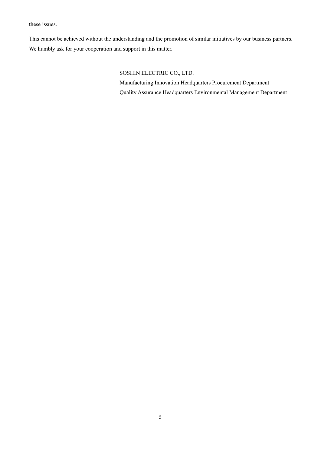these issues.

This cannot be achieved without the understanding and the promotion of similar initiatives by our business partners. We humbly ask for your cooperation and support in this matter.

# SOSHIN ELECTRIC CO., LTD.

Manufacturing Innovation Headquarters Procurement Department Quality Assurance Headquarters Environmental Management Department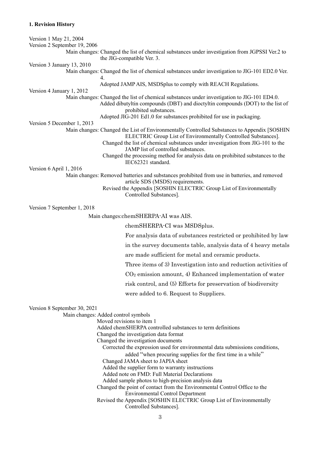# **1. Revision History**

| Version 1 May 21, 2004       |                                                                                                                                                                                                         |
|------------------------------|---------------------------------------------------------------------------------------------------------------------------------------------------------------------------------------------------------|
| Version 2 September 19, 2006 |                                                                                                                                                                                                         |
|                              | Main changes: Changed the list of chemical substances under investigation from JGPSSI Ver.2 to<br>the JIG-compatible Ver. 3.                                                                            |
| Version 3 January 13, 2010   |                                                                                                                                                                                                         |
|                              | Main changes: Changed the list of chemical substances under investigation to JIG-101 ED2.0 Ver.<br>4.                                                                                                   |
|                              | Adopted JAMP AIS, MSDSplus to comply with REACH Regulations.                                                                                                                                            |
| Version 4 January 1, 2012    |                                                                                                                                                                                                         |
|                              | Main changes: Changed the list of chemical substances under investigation to JIG-101 ED4.0.<br>Added dibutyltin compounds (DBT) and dioctyltin compounds (DOT) to the list of<br>prohibited substances. |
|                              | Adopted JIG-201 Ed1.0 for substances prohibited for use in packaging.                                                                                                                                   |
| Version 5 December 1, 2013   | Main changes: Changed the List of Environmentally Controlled Substances to Appendix [SOSHIN                                                                                                             |
|                              | ELECTRIC Group List of Environmentally Controlled Substances].<br>Changed the list of chemical substances under investigation from JIG-101 to the                                                       |
|                              | JAMP list of controlled substances.                                                                                                                                                                     |
|                              | Changed the processing method for analysis data on prohibited substances to the<br>IEC62321 standard.                                                                                                   |
| Version 6 April 1, 2016      |                                                                                                                                                                                                         |
|                              | Main changes: Removed batteries and substances prohibited from use in batteries, and removed<br>article SDS (MSDS) requirements.                                                                        |
|                              | Revised the Appendix [SOSHIN ELECTRIC Group List of Environmentally<br>Controlled Substances].                                                                                                          |
| Version 7 September 1, 2018  |                                                                                                                                                                                                         |
|                              | Main changes:chemSHERPA-AI was AIS.                                                                                                                                                                     |
|                              | chemSHERPA-CI was MSDSplus.                                                                                                                                                                             |
|                              | For analysis data of substances restricted or prohibited by law                                                                                                                                         |
|                              | in the survey documents table, analysis data of 4 heavy metals                                                                                                                                          |
|                              | are made sufficient for metal and ceramic products.                                                                                                                                                     |
|                              | Three items of 3) Investigation into and reduction activities of                                                                                                                                        |
|                              | $CO2$ emission amount, 4) Enhanced implementation of water                                                                                                                                              |
|                              | risk control, and (5) Efforts for preservation of biodiversity                                                                                                                                          |
|                              | were added to 6. Request to Suppliers.                                                                                                                                                                  |
|                              |                                                                                                                                                                                                         |
| Version 8 September 30, 2021 |                                                                                                                                                                                                         |
|                              | Main changes: Added control symbols                                                                                                                                                                     |
|                              | Moved revisions to item 1                                                                                                                                                                               |
|                              | Added chemSHERPA controlled substances to term definitions<br>Changed the investigation data format                                                                                                     |
|                              | Changed the investigation documents                                                                                                                                                                     |
|                              | Corrected the expression used for environmental data submissions conditions,                                                                                                                            |
|                              | added "when procuring supplies for the first time in a while"                                                                                                                                           |
|                              | Changed JAMA sheet to JAPIA sheet                                                                                                                                                                       |
|                              | Added the supplier form to warranty instructions<br>Added note on FMD: Full Material Declarations                                                                                                       |
|                              | Added sample photos to high-precision analysis data                                                                                                                                                     |
|                              | Changed the point of contact from the Environmental Control Office to the                                                                                                                               |
|                              | <b>Environmental Control Department</b>                                                                                                                                                                 |
|                              | Revised the Appendix [SOSHIN ELECTRIC Group List of Environmentally<br>Controlled Substances].                                                                                                          |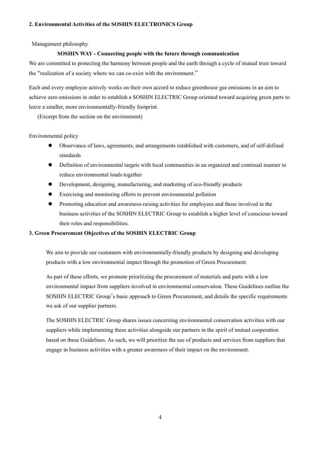## **2. Environmental Activities of the SOSHIN ELECTRONICS Group**

Management philosophy

#### **SOSHIN WAY - Connecting people with the future through communication**

We are committed to protecting the harmony between people and the earth through a cycle of mutual trust toward the "realization of a society where we can co-exist with the environment."

Each and every employee actively works on their own accord to reduce greenhouse gas emissions in an aim to achieve zero emissions in order to establish a SOSHIN ELECTRIC Group oriented toward acquiring green parts to leave a smaller, more environmentally-friendly footprint.

(Excerpt from the section on the environment)

Environmental policy

- Observance of laws, agreements, and arrangements established with customers, and of self-defined standards
- Definition of environmental targets with local communities in an organized and continual manner to reduce environmental loads together
- Development, designing, manufacturing, and marketing of eco-friendly products
- Exercising and monitoring efforts to prevent environmental pollution
- Promoting education and awareness-raising activities for employees and those involved in the business activities of the SOSHIN ELECTRIC Group to establish a higher level of conscious toward their roles and responsibilities.

## **3. Green Procurement Objectives of the SOSHIN ELECTRIC Group**

We aim to provide our customers with environmentally-friendly products by designing and developing products with a low environmental impact through the promotion of Green Procurement.

As part of these efforts, we promote prioritizing the procurement of materials and parts with a low environmental impact from suppliers involved in environmental conservation. These Guidelines outline the SOSHIN ELECTRIC Group's basic approach to Green Procurement, and details the specific requirements we ask of our supplier partners.

The SOSHIN ELECTRIC Group shares issues concerning environmental conservation activities with our suppliers while implementing these activities alongside our partners in the spirit of mutual cooperation based on these Guidelines. As such, we will prioritize the use of products and services from suppliers that engage in business activities with a greater awareness of their impact on the environment.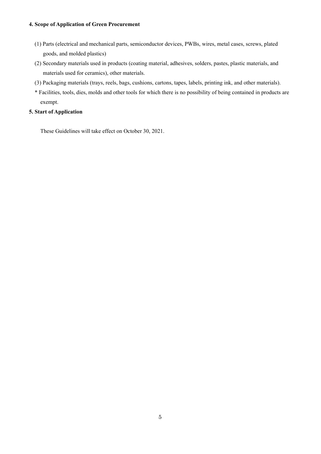## **4. Scope of Application of Green Procurement**

- (1) Parts (electrical and mechanical parts, semiconductor devices, PWBs, wires, metal cases, screws, plated goods, and molded plastics)
- (2) Secondary materials used in products (coating material, adhesives, solders, pastes, plastic materials, and materials used for ceramics), other materials.
- (3) Packaging materials (trays, reels, bags, cushions, cartons, tapes, labels, printing ink, and other materials).
- \* Facilities, tools, dies, molds and other tools for which there is no possibility of being contained in products are exempt.

# **5. Start of Application**

These Guidelines will take effect on October 30, 2021.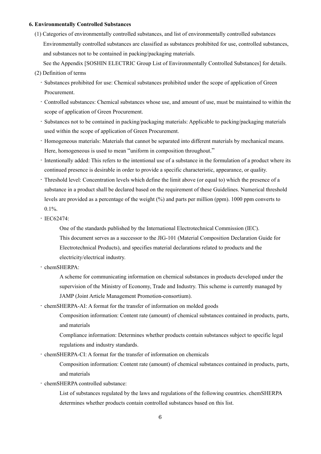#### **6. Environmentally Controlled Substances**

- (1) Categories of environmentally controlled substances, and list of environmentally controlled substances Environmentally controlled substances are classified as substances prohibited for use, controlled substances, and substances not to be contained in packing/packaging materials.
	- See the Appendix [SOSHIN ELECTRIC Group List of Environmentally Controlled Substances] for details.
- (2) Definition of terms
	- Substances prohibited for use: Chemical substances prohibited under the scope of application of Green Procurement.
	- Controlled substances: Chemical substances whose use, and amount of use, must be maintained to within the scope of application of Green Procurement.
	- Substances not to be contained in packing/packaging materials: Applicable to packing/packaging materials used within the scope of application of Green Procurement.
	- Homogeneous materials: Materials that cannot be separated into different materials by mechanical means. Here, homogeneous is used to mean "uniform in composition throughout."
	- Intentionally added: This refers to the intentional use of a substance in the formulation of a product where its continued presence is desirable in order to provide a specific characteristic, appearance, or quality.
	- Threshold level: Concentration levels which define the limit above (or equal to) which the presence of a substance in a product shall be declared based on the requirement of these Guidelines. Numerical threshold levels are provided as a percentage of the weight (%) and parts per million (ppm). 1000 ppm converts to 0.1%.
	- IEC62474:

One of the standards published by the International Electrotechnical Commission (IEC). This document serves as a successor to the JIG-101 (Material Composition Declaration Guide for Electrotechnical Products), and specifies material declarations related to products and the electricity/electrical industry.

- chemSHERPA:

A scheme for communicating information on chemical substances in products developed under the supervision of the Ministry of Economy, Trade and Industry. This scheme is currently managed by JAMP (Joint Article Management Promotion-consortium).

- chemSHERPA-AI: A format for the transfer of information on molded goods

Composition information: Content rate (amount) of chemical substances contained in products, parts, and materials

Compliance information: Determines whether products contain substances subject to specific legal regulations and industry standards.

- chemSHERPA-CI: A format for the transfer of information on chemicals

Composition information: Content rate (amount) of chemical substances contained in products, parts, and materials

- chemSHERPA controlled substance:

List of substances regulated by the laws and regulations of the following countries. chemSHERPA determines whether products contain controlled substances based on this list.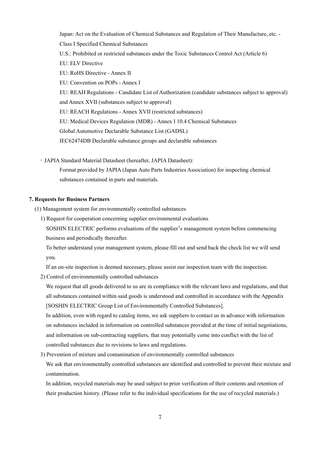Japan: Act on the Evaluation of Chemical Substances and Regulation of Their Manufacture, etc. - Class I Specified Chemical Substances U.S.: Prohibited or restricted substances under the Toxic Substances Control Act (Article 6) EU: ELV Directive EU: RoHS Directive - Annex II EU: Convention on POPs - Annex I EU: REAH Regulations - Candidate List of Authorization (candidate substances subject to approval) and Annex XVII (substances subject to approval) EU: REACH Regulations - Annex XVII (restricted substances) EU: Medical Devices Regulation (MDR) - Annex I 10.4 Chemical Substances Global Automotive Declarable Substance List (GADSL) IEC62474DB Declarable substance groups and declarable substances

- JAPIA Standard Material Datasheet (hereafter, JAPIA Datasheet):

Format provided by JAPIA (Japan Auto Parts Industries Association) for inspecting chemical substances contained in parts and materials.

### **7. Requests for Business Partners**

(1) Management system for environmentally controlled substances

1) Request for cooperation concerning supplier environmental evaluations

SOSHIN ELECTRIC performs evaluations of the supplier's management system before commencing business and periodically thereafter.

To better understand your management system, please fill out and send back the check list we will send you.

If an on-site inspection is deemed necessary, please assist our inspection team with the inspection.

2) Control of environmentally controlled substances

We request that all goods delivered to us are in compliance with the relevant laws and regulations, and that all substances contained within said goods is understood and controlled in accordance with the Appendix [SOSHIN ELECTRIC Group List of Environmentally Controlled Substances].

In addition, even with regard to catalog items, we ask suppliers to contact us in advance with information on substances included in information on controlled substances provided at the time of initial negotiations, and information on sub-contracting suppliers, that may potentially come into conflict with the list of controlled substances due to revisions to laws and regulations.

3) Prevention of mixture and contamination of environmentally controlled substances

We ask that environmentally controlled substances are identified and controlled to prevent their mixture and contamination.

In addition, recycled materials may be used subject to prior verification of their contents and retention of their production history. (Please refer to the individual specifications for the use of recycled materials.)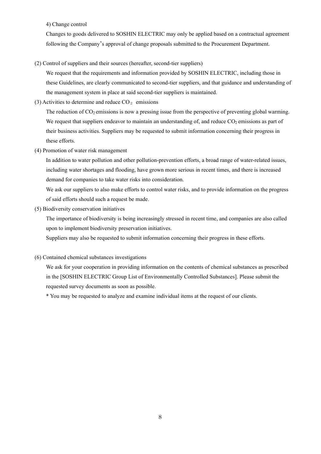4) Change control

Changes to goods delivered to SOSHIN ELECTRIC may only be applied based on a contractual agreement following the Company's approval of change proposals submitted to the Procurement Department.

(2) Control of suppliers and their sources (hereafter, second-tier suppliers)

We request that the requirements and information provided by SOSHIN ELECTRIC, including those in these Guidelines, are clearly communicated to second-tier suppliers, and that guidance and understanding of the management system in place at said second-tier suppliers is maintained.

(3) Activities to determine and reduce  $CO<sub>2</sub>$  emissions

The reduction of  $CO<sub>2</sub>$  emissions is now a pressing issue from the perspective of preventing global warming. We request that suppliers endeavor to maintain an understanding of, and reduce  $CO<sub>2</sub>$  emissions as part of their business activities. Suppliers may be requested to submit information concerning their progress in these efforts.

(4) Promotion of water risk management

In addition to water pollution and other pollution-prevention efforts, a broad range of water-related issues, including water shortages and flooding, have grown more serious in recent times, and there is increased demand for companies to take water risks into consideration.

We ask our suppliers to also make efforts to control water risks, and to provide information on the progress of said efforts should such a request be made.

(5) Biodiversity conservation initiatives

The importance of biodiversity is being increasingly stressed in recent time, and companies are also called upon to implement biodiversity preservation initiatives.

Suppliers may also be requested to submit information concerning their progress in these efforts.

(6) Contained chemical substances investigations

We ask for your cooperation in providing information on the contents of chemical substances as prescribed in the [SOSHIN ELECTRIC Group List of Environmentally Controlled Substances]. Please submit the requested survey documents as soon as possible.

\* You may be requested to analyze and examine individual items at the request of our clients.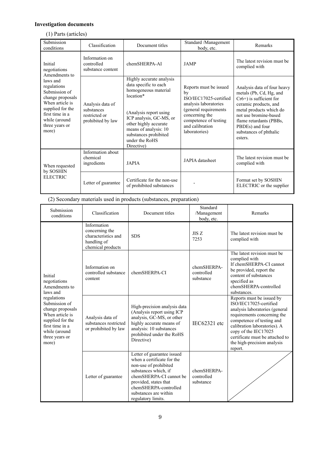# **Investigation documents**

# (1) Parts (articles)

| Submission<br>conditions                                                                                                                                                                                       | Classification                                                       | Document titles                                                                                                                                                                                                                                        | Standard /Management<br>body, etc.                                                                                                                                                      | Remarks                                                                                                                                                                                                                                              |
|----------------------------------------------------------------------------------------------------------------------------------------------------------------------------------------------------------------|----------------------------------------------------------------------|--------------------------------------------------------------------------------------------------------------------------------------------------------------------------------------------------------------------------------------------------------|-----------------------------------------------------------------------------------------------------------------------------------------------------------------------------------------|------------------------------------------------------------------------------------------------------------------------------------------------------------------------------------------------------------------------------------------------------|
| Initial<br>negotiations<br>Amendments to<br>laws and<br>regulations<br>Submission of<br>change proposals<br>When article is<br>supplied for the<br>first time in a<br>while (around<br>three years or<br>more) | Information on<br>controlled<br>substance content                    | chemSHERPA-AI                                                                                                                                                                                                                                          | <b>JAMP</b>                                                                                                                                                                             | The latest revision must be<br>complied with                                                                                                                                                                                                         |
|                                                                                                                                                                                                                | Analysis data of<br>substances<br>restricted or<br>prohibited by law | Highly accurate analysis<br>data specific to each<br>homogeneous material<br>location*<br>(Analysis report using<br>ICP analysis, GC-MS, or<br>other highly accurate<br>means of analysis: 10<br>substances prohibited<br>under the RoHS<br>Directive) | Reports must be issued<br>bv<br>ISO/IEC17025-certified<br>analysis laboratories<br>(general requirements<br>concerning the<br>competence of testing<br>and calibration<br>laboratories) | Analysis data of four heavy<br>metals (Pb, Cd, Hg, and<br>$Cr6+$ ) is sufficient for<br>ceramic products, and<br>metal products which do<br>not use bromine-based<br>flame retardants (PBBs,<br>PBDEs) and four<br>substances of phthalic<br>esters. |
| When requested<br>by SOSHIN<br><b>ELECTRIC</b>                                                                                                                                                                 | Information about<br>chemical<br>ingredients                         | <b>JAPIA</b>                                                                                                                                                                                                                                           | JAPIA datasheet                                                                                                                                                                         | The latest revision must be<br>complied with                                                                                                                                                                                                         |
|                                                                                                                                                                                                                | Letter of guarantee                                                  | Certificate for the non-use<br>of prohibited substances                                                                                                                                                                                                |                                                                                                                                                                                         | Format set by SOSHIN<br>ELECTRIC or the supplier                                                                                                                                                                                                     |

(2) Secondary materials used in products (substances, preparation)

| Submission<br>conditions                                                                                                                                                                                       | Classification                                                                           | Document titles                                                                                                                                                                                                                       | Standard<br>/Management<br>body, etc.  | Remarks                                                                                                                                                                                                                                                                                |
|----------------------------------------------------------------------------------------------------------------------------------------------------------------------------------------------------------------|------------------------------------------------------------------------------------------|---------------------------------------------------------------------------------------------------------------------------------------------------------------------------------------------------------------------------------------|----------------------------------------|----------------------------------------------------------------------------------------------------------------------------------------------------------------------------------------------------------------------------------------------------------------------------------------|
| Initial<br>negotiations<br>Amendments to<br>laws and<br>regulations<br>Submission of<br>change proposals<br>When article is<br>supplied for the<br>first time in a<br>while (around<br>three years or<br>more) | Information<br>concerning the<br>characteristics and<br>handling of<br>chemical products | <b>SDS</b>                                                                                                                                                                                                                            | JISZ<br>7253                           | The latest revision must be<br>complied with                                                                                                                                                                                                                                           |
|                                                                                                                                                                                                                | Information on<br>controlled substance<br>content                                        | chemSHERPA-CI                                                                                                                                                                                                                         | chemSHERPA-<br>controlled<br>substance | The latest revision must be<br>complied with<br>If chemSHERPA-CI cannot<br>be provided, report the<br>content of substances<br>specified as<br>chemSHERPA-controlled<br>substances.                                                                                                    |
|                                                                                                                                                                                                                | Analysis data of<br>substances restricted<br>or prohibited by law                        | High-precision analysis data<br>(Analysis report using ICP<br>analysis, GC-MS, or other<br>highly accurate means of<br>analysis: 10 substances<br>prohibited under the RoHS<br>Directive)                                             | $IEC62321$ etc                         | Reports must be issued by<br>ISO/IEC17025-certified<br>analysis laboratories (general<br>requirements concerning the<br>competence of testing and<br>calibration laboratories). A<br>copy of the IEC17025<br>certificate must be attached to<br>the high-precision analysis<br>report. |
|                                                                                                                                                                                                                | Letter of guarantee                                                                      | Letter of guarantee issued<br>when a certificate for the<br>non-use of prohibited<br>substances which, if<br>chemSHERPA-CI cannot be<br>provided, states that<br>chemSHERPA-controlled<br>substances are within<br>regulatory limits. | chemSHERPA-<br>controlled<br>substance |                                                                                                                                                                                                                                                                                        |